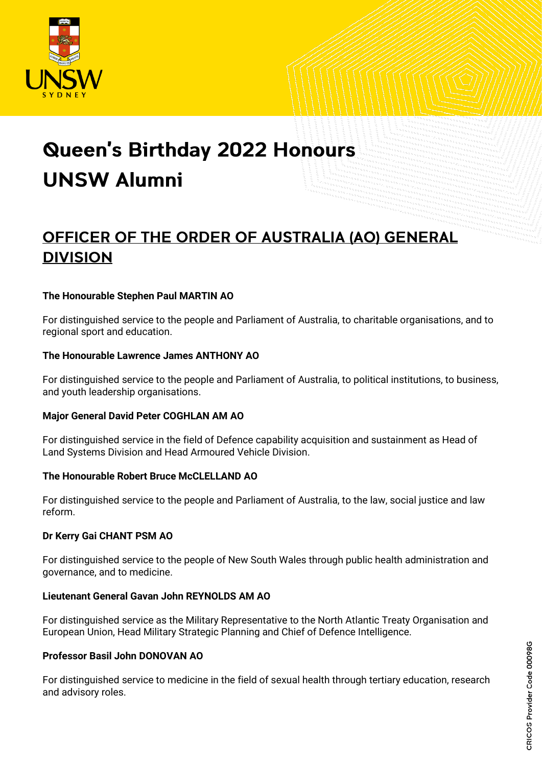

# **Queen's Birthday 2022 Honours UNSW Alumni**

# OFFICER OF THE ORDER OF AUSTRALIA (AO) GENERAL **DIVISION**

#### **The Honourable Stephen Paul MARTIN AO**

For distinguished service to the people and Parliament of Australia, to charitable organisations, and to regional sport and education.

#### **The Honourable Lawrence James ANTHONY AO**

For distinguished service to the people and Parliament of Australia, to political institutions, to business, and youth leadership organisations.

#### **Major General David Peter COGHLAN AM AO**

For distinguished service in the field of Defence capability acquisition and sustainment as Head of Land Systems Division and Head Armoured Vehicle Division.

#### **The Honourable Robert Bruce McCLELLAND AO**

For distinguished service to the people and Parliament of Australia, to the law, social justice and law reform.

#### **Dr Kerry Gai CHANT PSM AO**

For distinguished service to the people of New South Wales through public health administration and governance, and to medicine.

#### **Lieutenant General Gavan John REYNOLDS AM AO**

For distinguished service as the Military Representative to the North Atlantic Treaty Organisation and European Union, Head Military Strategic Planning and Chief of Defence Intelligence.

#### **Professor Basil John DONOVAN AO**

For distinguished service to medicine in the field of sexual health through tertiary education, research and advisory roles.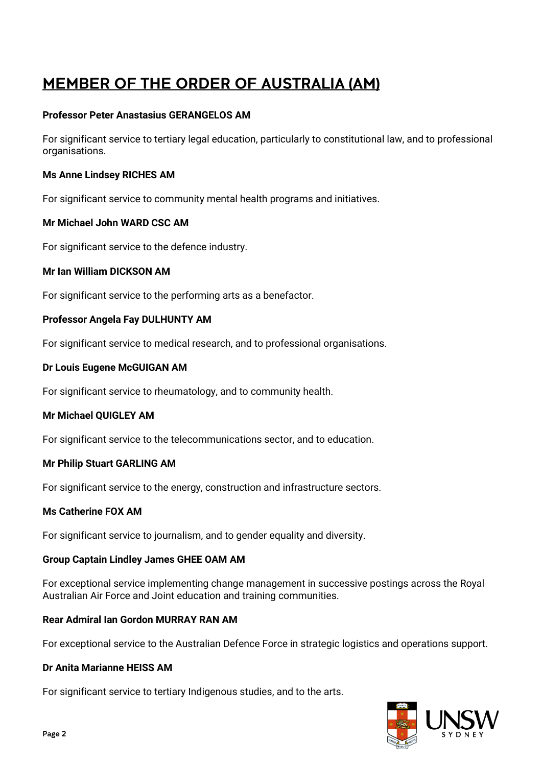# **MEMBER OF THE ORDER OF AUSTRALIA (AM)**

#### **Professor Peter Anastasius GERANGELOS AM**

For significant service to tertiary legal education, particularly to constitutional law, and to professional organisations.

#### **Ms Anne Lindsey RICHES AM**

For significant service to community mental health programs and initiatives.

#### **Mr Michael John WARD CSC AM**

For significant service to the defence industry.

#### **Mr Ian William DICKSON AM**

For significant service to the performing arts as a benefactor.

#### **Professor Angela Fay DULHUNTY AM**

For significant service to medical research, and to professional organisations.

#### **Dr Louis Eugene McGUIGAN AM**

For significant service to rheumatology, and to community health.

#### **Mr Michael QUIGLEY AM**

For significant service to the telecommunications sector, and to education.

#### **Mr Philip Stuart GARLING AM**

For significant service to the energy, construction and infrastructure sectors.

#### **Ms Catherine FOX AM**

For significant service to journalism, and to gender equality and diversity.

#### **Group Captain Lindley James GHEE OAM AM**

For exceptional service implementing change management in successive postings across the Royal Australian Air Force and Joint education and training communities.

#### **Rear Admiral Ian Gordon MURRAY RAN AM**

For exceptional service to the Australian Defence Force in strategic logistics and operations support.

#### **Dr Anita Marianne HEISS AM**

For significant service to tertiary Indigenous studies, and to the arts.

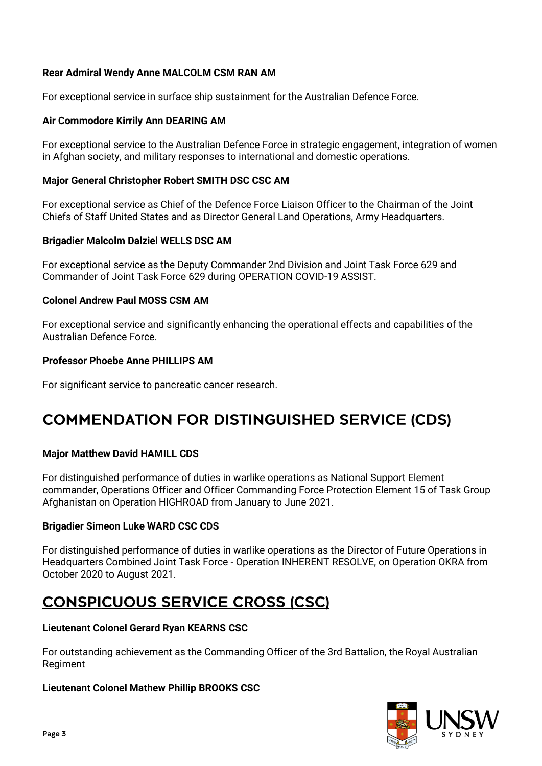#### **Rear Admiral Wendy Anne MALCOLM CSM RAN AM**

For exceptional service in surface ship sustainment for the Australian Defence Force.

#### **Air Commodore Kirrily Ann DEARING AM**

For exceptional service to the Australian Defence Force in strategic engagement, integration of women in Afghan society, and military responses to international and domestic operations.

#### **Major General Christopher Robert SMITH DSC CSC AM**

For exceptional service as Chief of the Defence Force Liaison Officer to the Chairman of the Joint Chiefs of Staff United States and as Director General Land Operations, Army Headquarters.

#### **Brigadier Malcolm Dalziel WELLS DSC AM**

For exceptional service as the Deputy Commander 2nd Division and Joint Task Force 629 and Commander of Joint Task Force 629 during OPERATION COVID-19 ASSIST.

#### **Colonel Andrew Paul MOSS CSM AM**

For exceptional service and significantly enhancing the operational effects and capabilities of the Australian Defence Force.

#### **Professor Phoebe Anne PHILLIPS AM**

For significant service to pancreatic cancer research.

# **COMMENDATION FOR DISTINGUISHED SERVICE (CDS)**

#### **Major Matthew David HAMILL CDS**

For distinguished performance of duties in warlike operations as National Support Element commander, Operations Officer and Officer Commanding Force Protection Element 15 of Task Group Afghanistan on Operation HIGHROAD from January to June 2021.

#### **Brigadier Simeon Luke WARD CSC CDS**

For distinguished performance of duties in warlike operations as the Director of Future Operations in Headquarters Combined Joint Task Force - Operation INHERENT RESOLVE, on Operation OKRA from October 2020 to August 2021.

# **CONSPICUOUS SERVICE CROSS (CSC)**

#### **Lieutenant Colonel Gerard Ryan KEARNS CSC**

For outstanding achievement as the Commanding Officer of the 3rd Battalion, the Royal Australian Regiment

#### **Lieutenant Colonel Mathew Phillip BROOKS CSC**

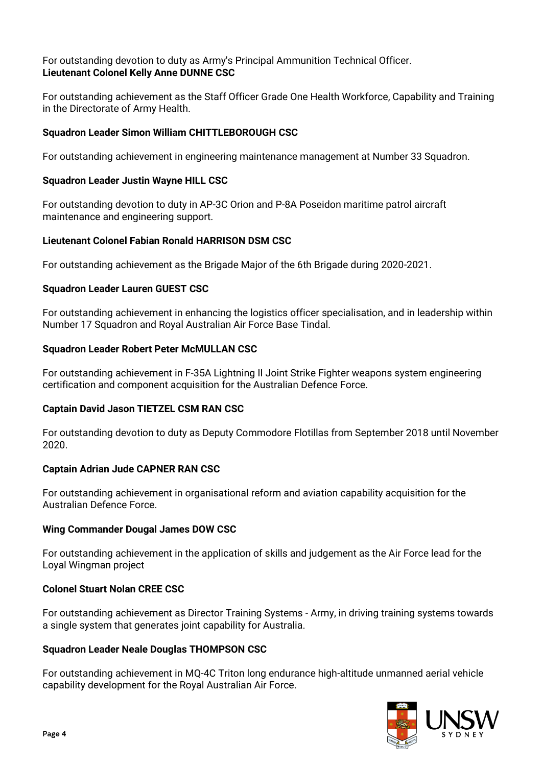#### For outstanding devotion to duty as Army's Principal Ammunition Technical Officer. **Lieutenant Colonel Kelly Anne DUNNE CSC**

For outstanding achievement as the Staff Officer Grade One Health Workforce, Capability and Training in the Directorate of Army Health.

#### **Squadron Leader Simon William CHITTLEBOROUGH CSC**

For outstanding achievement in engineering maintenance management at Number 33 Squadron.

#### **Squadron Leader Justin Wayne HILL CSC**

For outstanding devotion to duty in AP-3C Orion and P-8A Poseidon maritime patrol aircraft maintenance and engineering support.

#### **Lieutenant Colonel Fabian Ronald HARRISON DSM CSC**

For outstanding achievement as the Brigade Major of the 6th Brigade during 2020-2021.

#### **Squadron Leader Lauren GUEST CSC**

For outstanding achievement in enhancing the logistics officer specialisation, and in leadership within Number 17 Squadron and Royal Australian Air Force Base Tindal.

#### **Squadron Leader Robert Peter McMULLAN CSC**

For outstanding achievement in F-35A Lightning II Joint Strike Fighter weapons system engineering certification and component acquisition for the Australian Defence Force.

#### **Captain David Jason TIETZEL CSM RAN CSC**

For outstanding devotion to duty as Deputy Commodore Flotillas from September 2018 until November 2020.

#### **Captain Adrian Jude CAPNER RAN CSC**

For outstanding achievement in organisational reform and aviation capability acquisition for the Australian Defence Force.

#### **Wing Commander Dougal James DOW CSC**

For outstanding achievement in the application of skills and judgement as the Air Force lead for the Loyal Wingman project

#### **Colonel Stuart Nolan CREE CSC**

For outstanding achievement as Director Training Systems - Army, in driving training systems towards a single system that generates joint capability for Australia.

#### **Squadron Leader Neale Douglas THOMPSON CSC**

For outstanding achievement in MQ-4C Triton long endurance high-altitude unmanned aerial vehicle capability development for the Royal Australian Air Force.

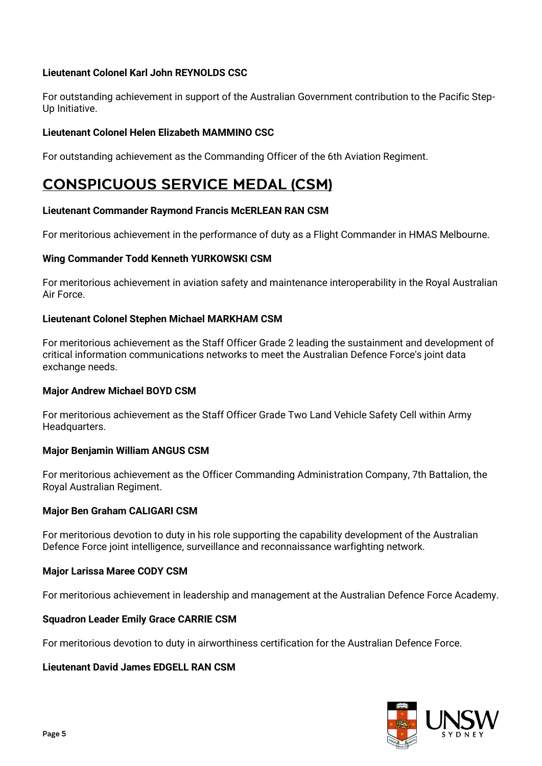#### **Lieutenant Colonel Karl John REYNOLDS CSC**

For outstanding achievement in support of the Australian Government contribution to the Pacific Step-Up Initiative.

#### **Lieutenant Colonel Helen Elizabeth MAMMINO CSC**

For outstanding achievement as the Commanding Officer of the 6th Aviation Regiment.

# **CONSPICUOUS SERVICE MEDAL (CSM)**

#### **Lieutenant Commander Raymond Francis McERLEAN RAN CSM**

For meritorious achievement in the performance of duty as a Flight Commander in HMAS Melbourne.

#### **Wing Commander Todd Kenneth YURKOWSKI CSM**

For meritorious achievement in aviation safety and maintenance interoperability in the Royal Australian Air Force.

#### **Lieutenant Colonel Stephen Michael MARKHAM CSM**

For meritorious achievement as the Staff Officer Grade 2 leading the sustainment and development of critical information communications networks to meet the Australian Defence Force's joint data exchange needs.

#### **Major Andrew Michael BOYD CSM**

For meritorious achievement as the Staff Officer Grade Two Land Vehicle Safety Cell within Army Headquarters.

#### **Major Benjamin William ANGUS CSM**

For meritorious achievement as the Officer Commanding Administration Company, 7th Battalion, the Royal Australian Regiment.

#### **Major Ben Graham CALIGARI CSM**

For meritorious devotion to duty in his role supporting the capability development of the Australian Defence Force joint intelligence, surveillance and reconnaissance warfighting network.

#### **Major Larissa Maree CODY CSM**

For meritorious achievement in leadership and management at the Australian Defence Force Academy.

#### **Squadron Leader Emily Grace CARRIE CSM**

For meritorious devotion to duty in airworthiness certification for the Australian Defence Force.

#### **Lieutenant David James EDGELL RAN CSM**

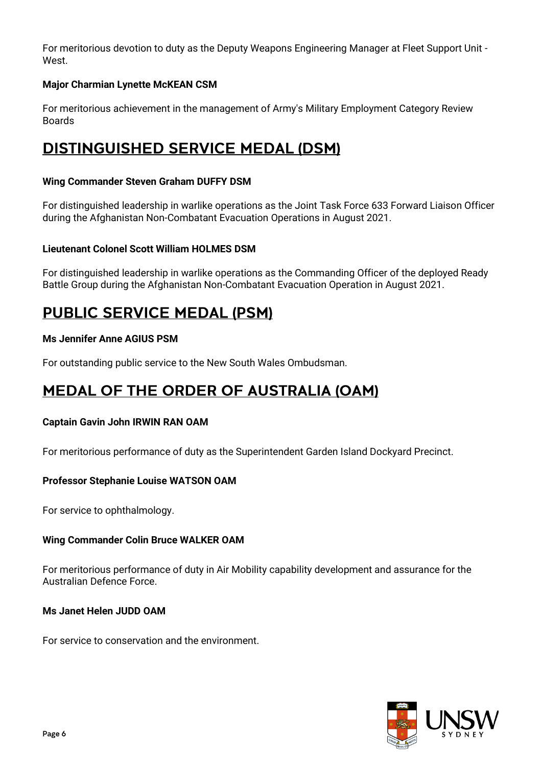For meritorious devotion to duty as the Deputy Weapons Engineering Manager at Fleet Support Unit - West.

#### **Major Charmian Lynette McKEAN CSM**

For meritorious achievement in the management of Army's Military Employment Category Review Boards

### **DISTINGUISHED SERVICE MEDAL (DSM)**

#### **Wing Commander Steven Graham DUFFY DSM**

For distinguished leadership in warlike operations as the Joint Task Force 633 Forward Liaison Officer during the Afghanistan Non-Combatant Evacuation Operations in August 2021.

#### **Lieutenant Colonel Scott William HOLMES DSM**

For distinguished leadership in warlike operations as the Commanding Officer of the deployed Ready Battle Group during the Afghanistan Non-Combatant Evacuation Operation in August 2021.

# **PUBLIC SERVICE MEDAL (PSM)**

#### **Ms Jennifer Anne AGIUS PSM**

For outstanding public service to the New South Wales Ombudsman.

# **MEDAL OF THE ORDER OF AUSTRALIA (OAM)**

#### **Captain Gavin John IRWIN RAN OAM**

For meritorious performance of duty as the Superintendent Garden Island Dockyard Precinct.

#### **Professor Stephanie Louise WATSON OAM**

For service to ophthalmology.

#### **Wing Commander Colin Bruce WALKER OAM**

For meritorious performance of duty in Air Mobility capability development and assurance for the Australian Defence Force.

#### **Ms Janet Helen JUDD OAM**

For service to conservation and the environment.

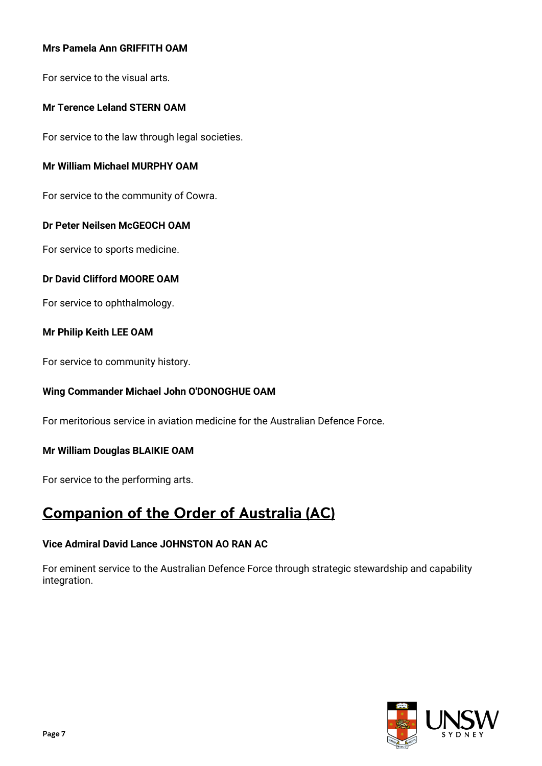#### **Mrs Pamela Ann GRIFFITH OAM**

For service to the visual arts.

#### **Mr Terence Leland STERN OAM**

For service to the law through legal societies.

#### **Mr William Michael MURPHY OAM**

For service to the community of Cowra.

#### **Dr Peter Neilsen McGEOCH OAM**

For service to sports medicine.

#### **Dr David Clifford MOORE OAM**

For service to ophthalmology.

#### **Mr Philip Keith LEE OAM**

For service to community history.

#### **Wing Commander Michael John O'DONOGHUE OAM**

For meritorious service in aviation medicine for the Australian Defence Force.

#### **Mr William Douglas BLAIKIE OAM**

For service to the performing arts.

### **Companion of the Order of Australia (AC)**

#### **Vice Admiral David Lance JOHNSTON AO RAN AC**

For eminent service to the Australian Defence Force through strategic stewardship and capability integration.